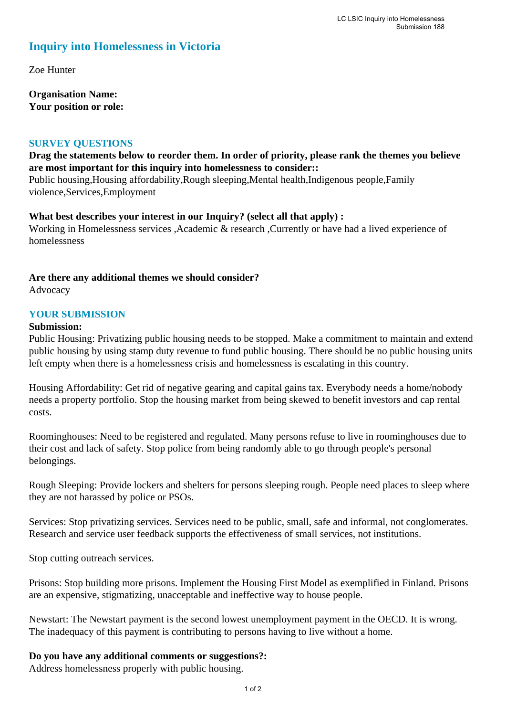# **Inquiry into Homelessness in Victoria**

Zoe Hunter

**Organisation Name: Your position or role:** 

#### **SURVEY QUESTIONS**

## **Drag the statements below to reorder them. In order of priority, please rank the themes you believe are most important for this inquiry into homelessness to consider::**

Public housing,Housing affordability,Rough sleeping,Mental health,Indigenous people,Family violence,Services,Employment

#### **What best describes your interest in our Inquiry? (select all that apply) :**

Working in Homelessness services ,Academic & research ,Currently or have had a lived experience of homelessness

#### **Are there any additional themes we should consider?**

Advocacy

## **YOUR SUBMISSION**

#### **Submission:**

Public Housing: Privatizing public housing needs to be stopped. Make a commitment to maintain and extend public housing by using stamp duty revenue to fund public housing. There should be no public housing units left empty when there is a homelessness crisis and homelessness is escalating in this country.

Housing Affordability: Get rid of negative gearing and capital gains tax. Everybody needs a home/nobody needs a property portfolio. Stop the housing market from being skewed to benefit investors and cap rental costs.

Roominghouses: Need to be registered and regulated. Many persons refuse to live in roominghouses due to their cost and lack of safety. Stop police from being randomly able to go through people's personal belongings.

Rough Sleeping: Provide lockers and shelters for persons sleeping rough. People need places to sleep where they are not harassed by police or PSOs.

Services: Stop privatizing services. Services need to be public, small, safe and informal, not conglomerates. Research and service user feedback supports the effectiveness of small services, not institutions.

Stop cutting outreach services.

Prisons: Stop building more prisons. Implement the Housing First Model as exemplified in Finland. Prisons are an expensive, stigmatizing, unacceptable and ineffective way to house people.

Newstart: The Newstart payment is the second lowest unemployment payment in the OECD. It is wrong. The inadequacy of this payment is contributing to persons having to live without a home.

## **Do you have any additional comments or suggestions?:**

Address homelessness properly with public housing.